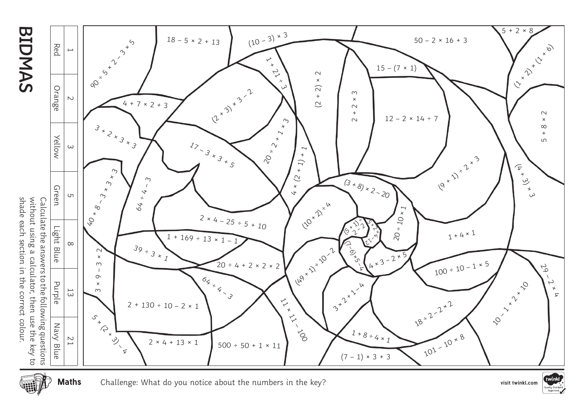

shade each section in the correct colour.

**Maths**